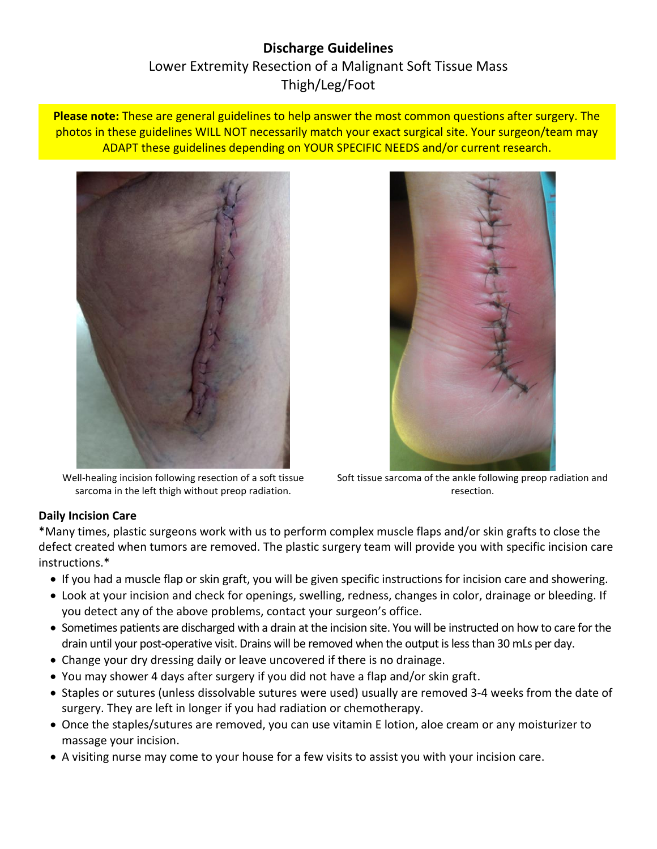# **Discharge Guidelines** Lower Extremity Resection of a Malignant Soft Tissue Mass Thigh/Leg/Foot

**Please note:** These are general guidelines to help answer the most common questions after surgery. The photos in these guidelines WILL NOT necessarily match your exact surgical site. Your surgeon/team may ADAPT these guidelines depending on YOUR SPECIFIC NEEDS and/or current research.



Well-healing incision following resection of a soft tissue sarcoma in the left thigh without preop radiation.



Soft tissue sarcoma of the ankle following preop radiation and resection.

# **Daily Incision Care**

\*Many times, plastic surgeons work with us to perform complex muscle flaps and/or skin grafts to close the defect created when tumors are removed. The plastic surgery team will provide you with specific incision care instructions.\*

- If you had a muscle flap or skin graft, you will be given specific instructions for incision care and showering.
- Look at your incision and check for openings, swelling, redness, changes in color, drainage or bleeding. If you detect any of the above problems, contact your surgeon's office.
- Sometimes patients are discharged with a drain at the incision site. You will be instructed on how to care for the drain until your post-operative visit. Drains will be removed when the output is less than 30 mLs per day.
- Change your dry dressing daily or leave uncovered if there is no drainage.
- You may shower 4 days after surgery if you did not have a flap and/or skin graft.
- Staples or sutures (unless dissolvable sutures were used) usually are removed 3-4 weeks from the date of surgery. They are left in longer if you had radiation or chemotherapy.
- Once the staples/sutures are removed, you can use vitamin E lotion, aloe cream or any moisturizer to massage your incision.
- A visiting nurse may come to your house for a few visits to assist you with your incision care.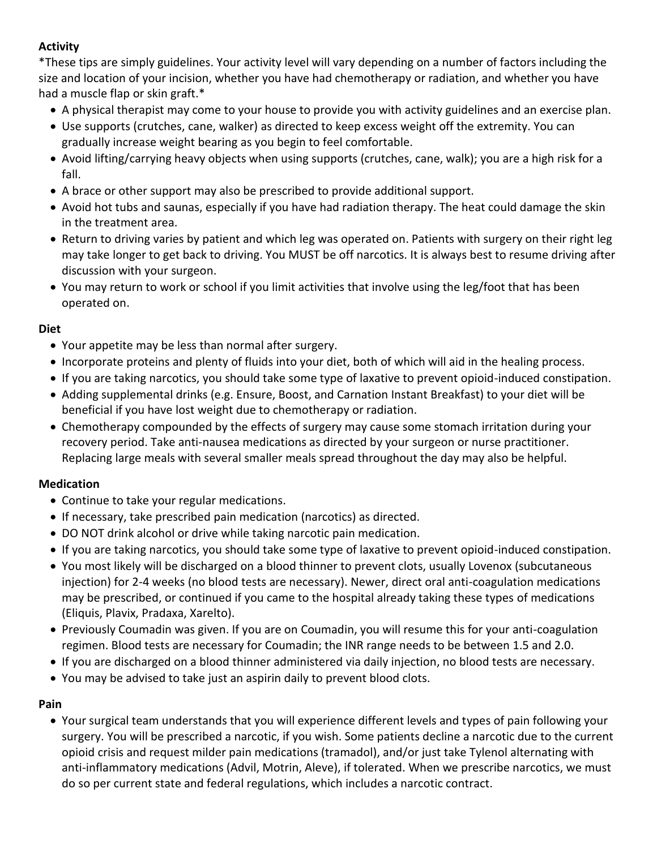# **Activity**

\*These tips are simply guidelines. Your activity level will vary depending on a number of factors including the size and location of your incision, whether you have had chemotherapy or radiation, and whether you have had a muscle flap or skin graft.\*

- A physical therapist may come to your house to provide you with activity guidelines and an exercise plan.
- Use supports (crutches, cane, walker) as directed to keep excess weight off the extremity. You can gradually increase weight bearing as you begin to feel comfortable.
- Avoid lifting/carrying heavy objects when using supports (crutches, cane, walk); you are a high risk for a fall.
- A brace or other support may also be prescribed to provide additional support.
- Avoid hot tubs and saunas, especially if you have had radiation therapy. The heat could damage the skin in the treatment area.
- Return to driving varies by patient and which leg was operated on. Patients with surgery on their right leg may take longer to get back to driving. You MUST be off narcotics. It is always best to resume driving after discussion with your surgeon.
- You may return to work or school if you limit activities that involve using the leg/foot that has been operated on.

### **Diet**

- Your appetite may be less than normal after surgery.
- Incorporate proteins and plenty of fluids into your diet, both of which will aid in the healing process.
- If you are taking narcotics, you should take some type of laxative to prevent opioid-induced constipation.
- Adding supplemental drinks (e.g. Ensure, Boost, and Carnation Instant Breakfast) to your diet will be beneficial if you have lost weight due to chemotherapy or radiation.
- Chemotherapy compounded by the effects of surgery may cause some stomach irritation during your recovery period. Take anti-nausea medications as directed by your surgeon or nurse practitioner. Replacing large meals with several smaller meals spread throughout the day may also be helpful.

### **Medication**

- Continue to take your regular medications.
- If necessary, take prescribed pain medication (narcotics) as directed.
- DO NOT drink alcohol or drive while taking narcotic pain medication.
- If you are taking narcotics, you should take some type of laxative to prevent opioid-induced constipation.
- You most likely will be discharged on a blood thinner to prevent clots, usually Lovenox (subcutaneous injection) for 2-4 weeks (no blood tests are necessary). Newer, direct oral anti-coagulation medications may be prescribed, or continued if you came to the hospital already taking these types of medications (Eliquis, Plavix, Pradaxa, Xarelto).
- Previously Coumadin was given. If you are on Coumadin, you will resume this for your anti-coagulation regimen. Blood tests are necessary for Coumadin; the INR range needs to be between 1.5 and 2.0.
- If you are discharged on a blood thinner administered via daily injection, no blood tests are necessary.
- You may be advised to take just an aspirin daily to prevent blood clots.

### **Pain**

 Your surgical team understands that you will experience different levels and types of pain following your surgery. You will be prescribed a narcotic, if you wish. Some patients decline a narcotic due to the current opioid crisis and request milder pain medications (tramadol), and/or just take Tylenol alternating with anti-inflammatory medications (Advil, Motrin, Aleve), if tolerated. When we prescribe narcotics, we must do so per current state and federal regulations, which includes a narcotic contract.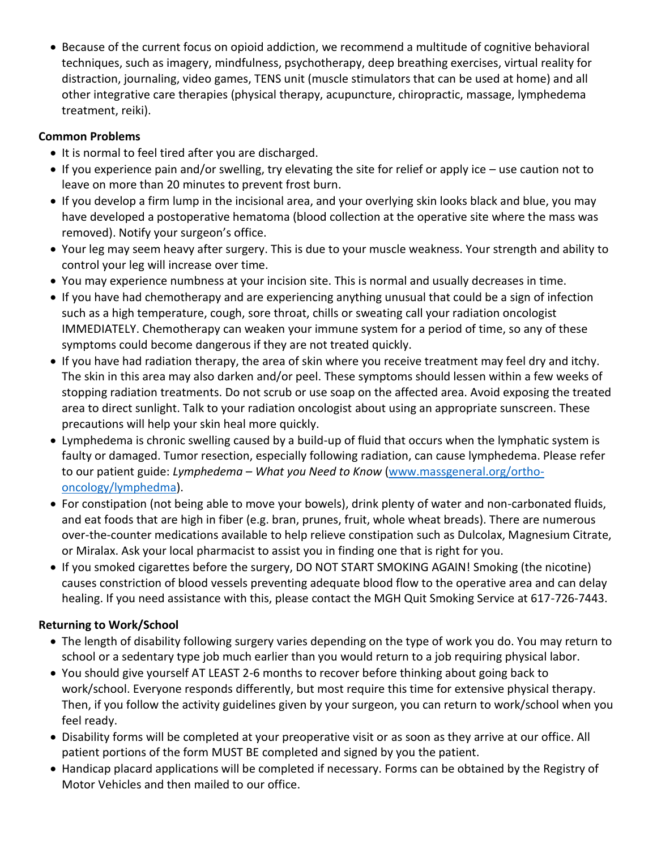Because of the current focus on opioid addiction, we recommend a multitude of cognitive behavioral techniques, such as imagery, mindfulness, psychotherapy, deep breathing exercises, virtual reality for distraction, journaling, video games, TENS unit (muscle stimulators that can be used at home) and all other integrative care therapies (physical therapy, acupuncture, chiropractic, massage, lymphedema treatment, reiki).

# **Common Problems**

- It is normal to feel tired after you are discharged.
- If you experience pain and/or swelling, try elevating the site for relief or apply ice use caution not to leave on more than 20 minutes to prevent frost burn.
- If you develop a firm lump in the incisional area, and your overlying skin looks black and blue, you may have developed a postoperative hematoma (blood collection at the operative site where the mass was removed). Notify your surgeon's office.
- Your leg may seem heavy after surgery. This is due to your muscle weakness. Your strength and ability to control your leg will increase over time.
- You may experience numbness at your incision site. This is normal and usually decreases in time.
- If you have had chemotherapy and are experiencing anything unusual that could be a sign of infection such as a high temperature, cough, sore throat, chills or sweating call your radiation oncologist IMMEDIATELY. Chemotherapy can weaken your immune system for a period of time, so any of these symptoms could become dangerous if they are not treated quickly.
- If you have had radiation therapy, the area of skin where you receive treatment may feel dry and itchy. The skin in this area may also darken and/or peel. These symptoms should lessen within a few weeks of stopping radiation treatments. Do not scrub or use soap on the affected area. Avoid exposing the treated area to direct sunlight. Talk to your radiation oncologist about using an appropriate sunscreen. These precautions will help your skin heal more quickly.
- Lymphedema is chronic swelling caused by a build-up of fluid that occurs when the lymphatic system is faulty or damaged. Tumor resection, especially following radiation, can cause lymphedema. Please refer to our patient guide: *Lymphedema – What you Need to Know* [\(www.massgeneral.org/ortho](http://www.massgeneral.org/ortho-oncology/lymphedma)[oncology/lymphedma\)](http://www.massgeneral.org/ortho-oncology/lymphedma).
- For constipation (not being able to move your bowels), drink plenty of water and non-carbonated fluids, and eat foods that are high in fiber (e.g. bran, prunes, fruit, whole wheat breads). There are numerous over-the-counter medications available to help relieve constipation such as Dulcolax, Magnesium Citrate, or Miralax. Ask your local pharmacist to assist you in finding one that is right for you.
- If you smoked cigarettes before the surgery, DO NOT START SMOKING AGAIN! Smoking (the nicotine) causes constriction of blood vessels preventing adequate blood flow to the operative area and can delay healing. If you need assistance with this, please contact the MGH Quit Smoking Service at 617-726-7443.

# **Returning to Work/School**

- The length of disability following surgery varies depending on the type of work you do. You may return to school or a sedentary type job much earlier than you would return to a job requiring physical labor.
- You should give yourself AT LEAST 2-6 months to recover before thinking about going back to work/school. Everyone responds differently, but most require this time for extensive physical therapy. Then, if you follow the activity guidelines given by your surgeon, you can return to work/school when you feel ready.
- Disability forms will be completed at your preoperative visit or as soon as they arrive at our office. All patient portions of the form MUST BE completed and signed by you the patient.
- Handicap placard applications will be completed if necessary. Forms can be obtained by the Registry of Motor Vehicles and then mailed to our office.